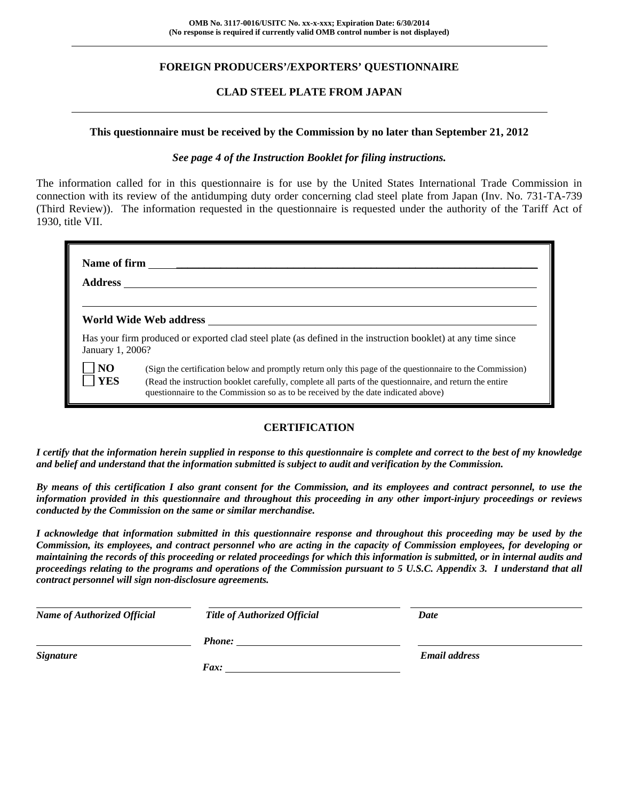## **FOREIGN PRODUCERS'/EXPORTERS' QUESTIONNAIRE**

#### **CLAD STEEL PLATE FROM JAPAN**

#### **This questionnaire must be received by the Commission by no later than September 21, 2012**

#### *See page 4 of the Instruction Booklet for filing instructions.*

The information called for in this questionnaire is for use by the United States International Trade Commission in connection with its review of the antidumping duty order concerning clad steel plate from Japan (Inv. No. 731-TA-739 (Third Review)). The information requested in the questionnaire is requested under the authority of the Tariff Act of 1930, title VII.

| <b>Address</b>        |                                                                                                                                                                                                                                                                                                          |  |  |  |  |  |  |
|-----------------------|----------------------------------------------------------------------------------------------------------------------------------------------------------------------------------------------------------------------------------------------------------------------------------------------------------|--|--|--|--|--|--|
|                       | World Wide Web address                                                                                                                                                                                                                                                                                   |  |  |  |  |  |  |
| January 1, 2006?      | Has your firm produced or exported clad steel plate (as defined in the instruction booklet) at any time since                                                                                                                                                                                            |  |  |  |  |  |  |
| N <sub>O</sub><br>YES | (Sign the certification below and promptly return only this page of the questionnaire to the Commission)<br>(Read the instruction booklet carefully, complete all parts of the questionnaire, and return the entire<br>questionnaire to the Commission so as to be received by the date indicated above) |  |  |  |  |  |  |

## **CERTIFICATION**

*I certify that the information herein supplied in response to this questionnaire is complete and correct to the best of my knowledge and belief and understand that the information submitted is subject to audit and verification by the Commission.* 

*By means of this certification I also grant consent for the Commission, and its employees and contract personnel, to use the information provided in this questionnaire and throughout this proceeding in any other import-injury proceedings or reviews conducted by the Commission on the same or similar merchandise.* 

*I acknowledge that information submitted in this questionnaire response and throughout this proceeding may be used by the Commission, its employees, and contract personnel who are acting in the capacity of Commission employees, for developing or maintaining the records of this proceeding or related proceedings for which this information is submitted, or in internal audits and proceedings relating to the programs and operations of the Commission pursuant to 5 U.S.C. Appendix 3. I understand that all contract personnel will sign non-disclosure agreements.* 

| <b>Name of Authorized Official</b> | Title of Authorized Official | Date                 |
|------------------------------------|------------------------------|----------------------|
|                                    | <b>Phone:</b>                |                      |
| <b>Signature</b>                   |                              | <b>Email address</b> |
|                                    | Fax:                         |                      |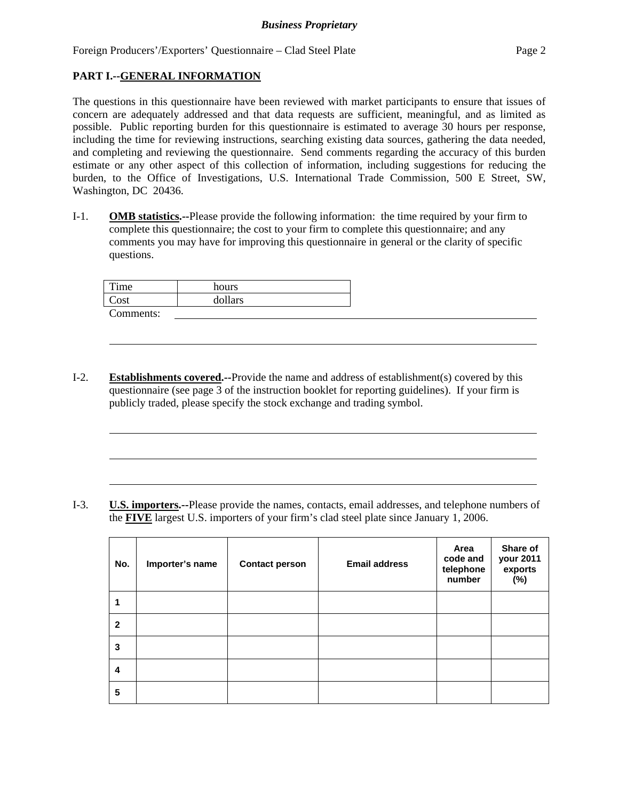## **PART I.--GENERAL INFORMATION**

l

The questions in this questionnaire have been reviewed with market participants to ensure that issues of concern are adequately addressed and that data requests are sufficient, meaningful, and as limited as possible. Public reporting burden for this questionnaire is estimated to average 30 hours per response, including the time for reviewing instructions, searching existing data sources, gathering the data needed, and completing and reviewing the questionnaire. Send comments regarding the accuracy of this burden estimate or any other aspect of this collection of information, including suggestions for reducing the burden, to the Office of Investigations, U.S. International Trade Commission, 500 E Street, SW, Washington, DC 20436.

I-1. **OMB statistics.--**Please provide the following information: the time required by your firm to complete this questionnaire; the cost to your firm to complete this questionnaire; and any comments you may have for improving this questionnaire in general or the clarity of specific questions.

| Time      | hours   |
|-----------|---------|
| Cost      | dollars |
| Comments: |         |

I-2. **Establishments covered.--**Provide the name and address of establishment(s) covered by this questionnaire (see page 3 of the instruction booklet for reporting guidelines). If your firm is publicly traded, please specify the stock exchange and trading symbol.

I-3. **U.S. importers.--**Please provide the names, contacts, email addresses, and telephone numbers of the **FIVE** largest U.S. importers of your firm's clad steel plate since January 1, 2006.

| No.          | Importer's name | <b>Contact person</b> | <b>Email address</b> | Area<br>code and<br>telephone<br>number | Share of<br>your 2011<br>exports<br>(%) |
|--------------|-----------------|-----------------------|----------------------|-----------------------------------------|-----------------------------------------|
|              |                 |                       |                      |                                         |                                         |
| $\mathbf{2}$ |                 |                       |                      |                                         |                                         |
| 3            |                 |                       |                      |                                         |                                         |
| 4            |                 |                       |                      |                                         |                                         |
| 5            |                 |                       |                      |                                         |                                         |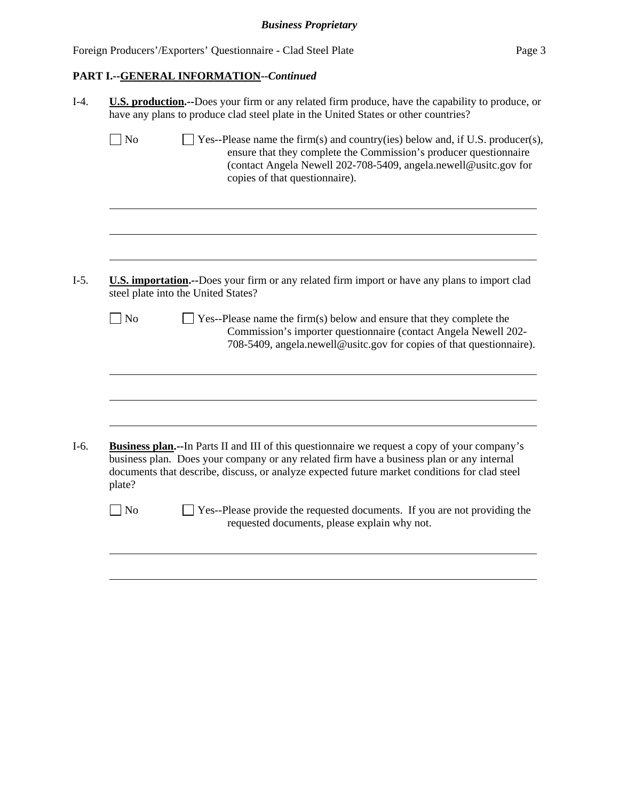# **PART I.--GENERAL INFORMATION--***Continued*

|              | <b>U.S. production.</b> --Does your firm or any related firm produce, have the capability to produce, or<br>have any plans to produce clad steel plate in the United States or other countries?                                                                                                     |
|--------------|-----------------------------------------------------------------------------------------------------------------------------------------------------------------------------------------------------------------------------------------------------------------------------------------------------|
| No           | Yes--Please name the firm(s) and country(ies) below and, if U.S. producer(s),<br>ensure that they complete the Commission's producer questionnaire<br>(contact Angela Newell 202-708-5409, angela.newell@usitc.gov for<br>copies of that questionnaire).                                            |
|              |                                                                                                                                                                                                                                                                                                     |
|              | <b>U.S. importation.</b> --Does your firm or any related firm import or have any plans to import clad<br>steel plate into the United States?                                                                                                                                                        |
| $\exists$ No | $\Box$ Yes--Please name the firm(s) below and ensure that they complete the<br>Commission's importer questionnaire (contact Angela Newell 202-<br>708-5409, angela.newell@usitc.gov for copies of that questionnaire).                                                                              |
|              |                                                                                                                                                                                                                                                                                                     |
|              |                                                                                                                                                                                                                                                                                                     |
| plate?       | <b>Business plan.</b> --In Parts II and III of this questionnaire we request a copy of your company's<br>business plan. Does your company or any related firm have a business plan or any internal<br>documents that describe, discuss, or analyze expected future market conditions for clad steel |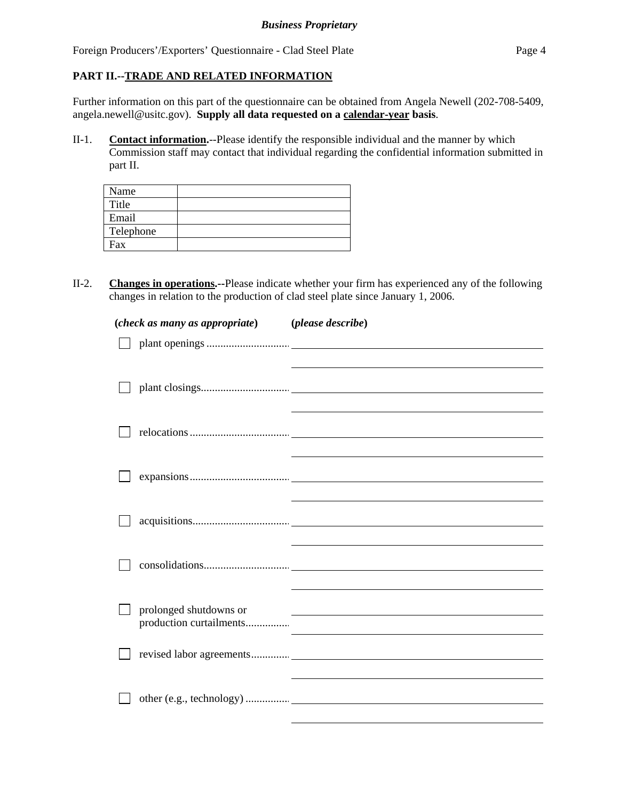# **PART II.--TRADE AND RELATED INFORMATION**

Further information on this part of the questionnaire can be obtained from Angela Newell (202-708-5409, angela.newell@usitc.gov). **Supply all data requested on a calendar-year basis**.

II-1. **Contact information.**--Please identify the responsible individual and the manner by which Commission staff may contact that individual regarding the confidential information submitted in part II.

| Name      |  |
|-----------|--|
| Title     |  |
| Email     |  |
| Telephone |  |
| Fax       |  |

II-2. **Changes in operations.--**Please indicate whether your firm has experienced any of the following changes in relation to the production of clad steel plate since January 1, 2006.

| (check as many as appropriate)                    | (please describe)                                     |
|---------------------------------------------------|-------------------------------------------------------|
|                                                   |                                                       |
|                                                   |                                                       |
|                                                   |                                                       |
|                                                   |                                                       |
|                                                   |                                                       |
|                                                   |                                                       |
|                                                   |                                                       |
|                                                   |                                                       |
|                                                   |                                                       |
|                                                   |                                                       |
|                                                   |                                                       |
|                                                   |                                                       |
| prolonged shutdowns or<br>production curtailments | <u> 1980 - Johann Stein, fransk politik (f. 1980)</u> |
|                                                   |                                                       |
|                                                   |                                                       |
|                                                   |                                                       |
|                                                   |                                                       |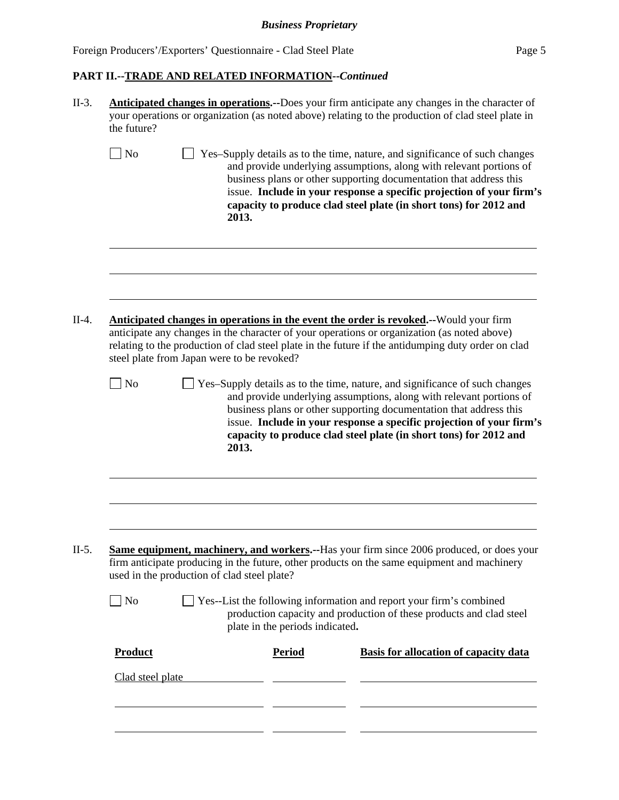# *Business Proprietary*

Foreign Producers'/Exporters' Questionnaire - Clad Steel Plate Page 5

# **PART II.--TRADE AND RELATED INFORMATION--***Continued*

| the future?                        |                                             |                                 | <b>Anticipated changes in operations.</b> --Does your firm anticipate any changes in the character of<br>your operations or organization (as noted above) relating to the production of clad steel plate in                                                                                                                                                           |
|------------------------------------|---------------------------------------------|---------------------------------|-----------------------------------------------------------------------------------------------------------------------------------------------------------------------------------------------------------------------------------------------------------------------------------------------------------------------------------------------------------------------|
| $\sqrt{\phantom{a}}$ No            | 2013.                                       |                                 | Yes-Supply details as to the time, nature, and significance of such changes<br>and provide underlying assumptions, along with relevant portions of<br>business plans or other supporting documentation that address this<br>issue. Include in your response a specific projection of your firm's<br>capacity to produce clad steel plate (in short tons) for 2012 and |
|                                    | steel plate from Japan were to be revoked?  |                                 | Anticipated changes in operations in the event the order is revoked.--Would your firm<br>anticipate any changes in the character of your operations or organization (as noted above)<br>relating to the production of clad steel plate in the future if the antidumping duty order on clad                                                                            |
| $\Box$ No                          | 2013.                                       |                                 | Yes-Supply details as to the time, nature, and significance of such changes<br>and provide underlying assumptions, along with relevant portions of<br>business plans or other supporting documentation that address this<br>issue. Include in your response a specific projection of your firm's<br>capacity to produce clad steel plate (in short tons) for 2012 and |
|                                    | used in the production of clad steel plate? |                                 | Same equipment, machinery, and workers.--Has your firm since 2006 produced, or does your<br>firm anticipate producing in the future, other products on the same equipment and machinery                                                                                                                                                                               |
|                                    |                                             |                                 |                                                                                                                                                                                                                                                                                                                                                                       |
| $\Box$ No                          |                                             | plate in the periods indicated. | $\Box$ Yes--List the following information and report your firm's combined<br>production capacity and production of these products and clad steel                                                                                                                                                                                                                     |
| <b>Product</b><br>Clad steel plate |                                             | <b>Period</b>                   | <b>Basis for allocation of capacity data</b>                                                                                                                                                                                                                                                                                                                          |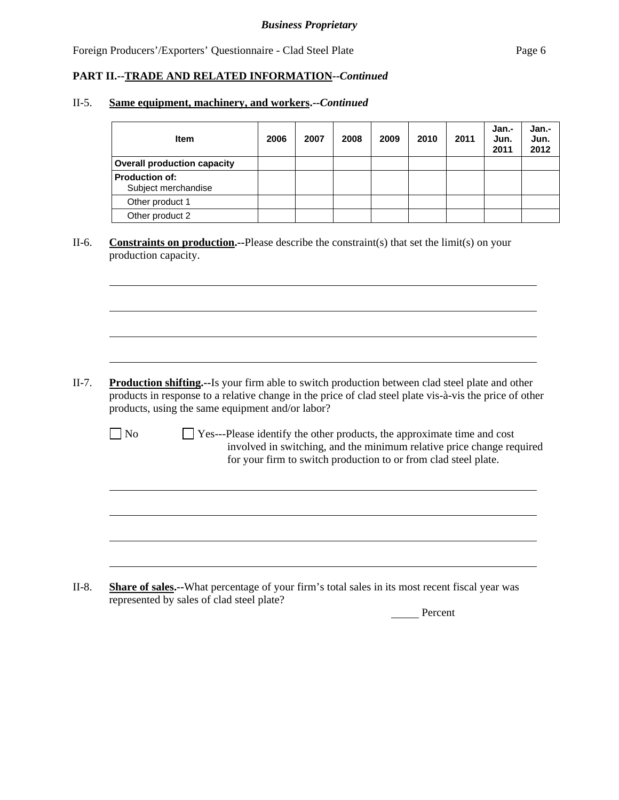## **PART II.--TRADE AND RELATED INFORMATION--***Continued*

#### II-5. **Same equipment, machinery, and workers.--***Continued*

| <b>Item</b>                                  | 2006 | 2007 | 2008 | 2009 | 2010 | 2011 | Jan.-<br>Jun.<br>2011 | Jan.-<br>Jun.<br>2012 |
|----------------------------------------------|------|------|------|------|------|------|-----------------------|-----------------------|
| <b>Overall production capacity</b>           |      |      |      |      |      |      |                       |                       |
| <b>Production of:</b><br>Subject merchandise |      |      |      |      |      |      |                       |                       |
| Other product 1                              |      |      |      |      |      |      |                       |                       |
| Other product 2                              |      |      |      |      |      |      |                       |                       |

II-6. **Constraints on production.--**Please describe the constraint(s) that set the limit(s) on your production capacity.

II-7. **Production shifting.--**Is your firm able to switch production between clad steel plate and other products in response to a relative change in the price of clad steel plate vis-à-vis the price of other products, using the same equipment and/or labor?

l

l

 $\Box$  No  $\Box$  Yes---Please identify the other products, the approximate time and cost involved in switching, and the minimum relative price change required for your firm to switch production to or from clad steel plate.

II-8. **Share of sales.--**What percentage of your firm's total sales in its most recent fiscal year was represented by sales of clad steel plate?

Percent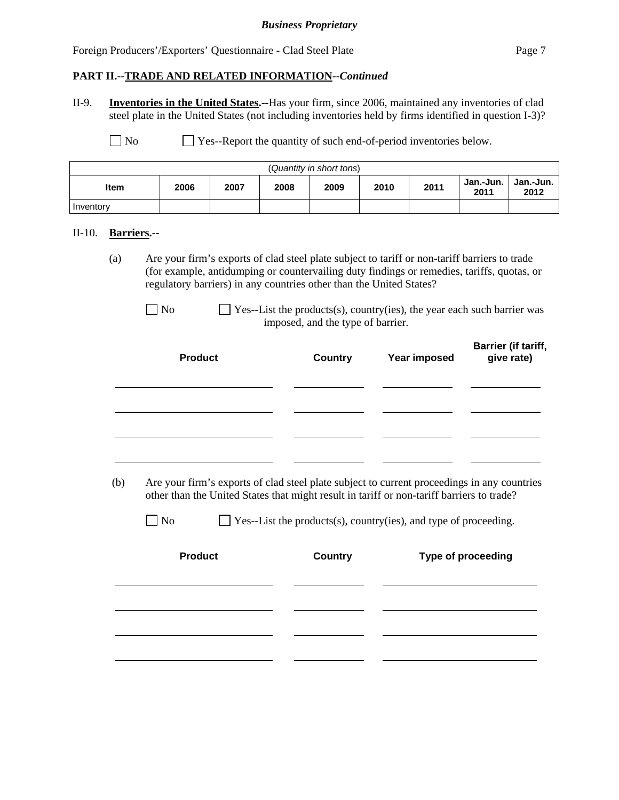#### *Business Proprietary*

Foreign Producers'/Exporters' Questionnaire - Clad Steel Plate Page 7

#### **PART II.--TRADE AND RELATED INFORMATION--***Continued*

II-9. **Inventories in the United States.--**Has your firm, since 2006, maintained any inventories of clad steel plate in the United States (not including inventories held by firms identified in question I-3)?

No Ses-Report the quantity of such end-of-period inventories below.

| (Quantity in short tons) |      |      |      |      |      |      |                   |                   |
|--------------------------|------|------|------|------|------|------|-------------------|-------------------|
| <b>Item</b>              | 2006 | 2007 | 2008 | 2009 | 2010 | 2011 | Jan.-Jun.<br>2011 | Jan.-Jun.<br>2012 |
| Inventory                |      |      |      |      |      |      |                   |                   |

#### II-10. **Barriers.--**

(a) Are your firm's exports of clad steel plate subject to tariff or non-tariff barriers to trade (for example, antidumping or countervailing duty findings or remedies, tariffs, quotas, or regulatory barriers) in any countries other than the United States?

| <b>Product</b> | <b>Country</b> | <b>Year imposed</b> | Barrier (if tariff,<br>give rate) |
|----------------|----------------|---------------------|-----------------------------------|
|                |                |                     |                                   |
|                |                |                     |                                   |
|                |                |                     |                                   |

 (b) Are your firm's exports of clad steel plate subject to current proceedings in any countries other than the United States that might result in tariff or non-tariff barriers to trade?

| N <sub>o</sub> |  | $\Box$ Yes--List the products(s), country(ies), and type of proceeding. |  |
|----------------|--|-------------------------------------------------------------------------|--|
|----------------|--|-------------------------------------------------------------------------|--|

| <b>Product</b> | <b>Country</b> |  |  |
|----------------|----------------|--|--|
|                |                |  |  |
|                |                |  |  |
|                |                |  |  |
|                |                |  |  |
|                |                |  |  |

 $\Box$  No  $\Box$  Yes--List the products(s), country(ies), the year each such barrier was imposed, and the type of barrier.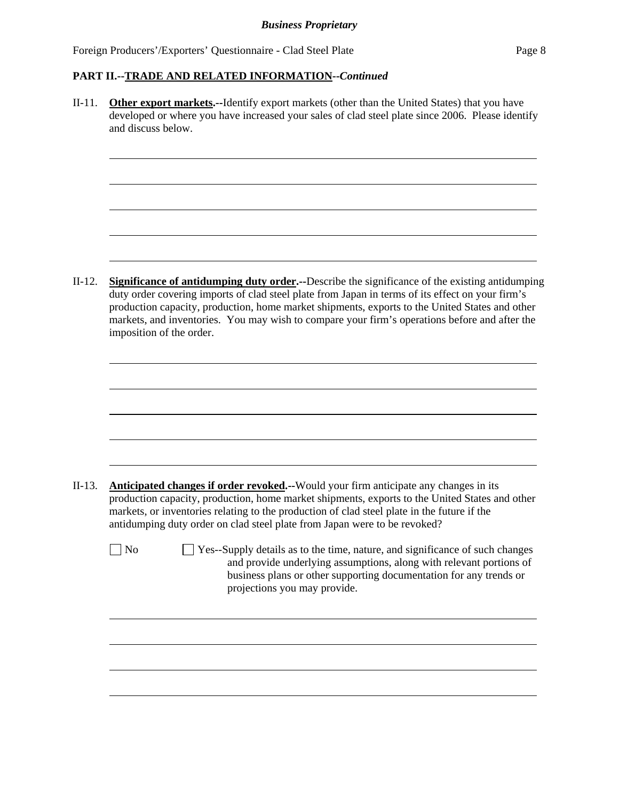l

l

l

#### **PART II.--TRADE AND RELATED INFORMATION--***Continued*

II-11. **Other export markets.--**Identify export markets (other than the United States) that you have developed or where you have increased your sales of clad steel plate since 2006. Please identify and discuss below.

II-12. **Significance of antidumping duty order.--**Describe the significance of the existing antidumping duty order covering imports of clad steel plate from Japan in terms of its effect on your firm's production capacity, production, home market shipments, exports to the United States and other markets, and inventories. You may wish to compare your firm's operations before and after the imposition of the order.

- II-13. **Anticipated changes if order revoked.--**Would your firm anticipate any changes in its production capacity, production, home market shipments, exports to the United States and other markets, or inventories relating to the production of clad steel plate in the future if the antidumping duty order on clad steel plate from Japan were to be revoked?
	- No Ses-Supply details as to the time, nature, and significance of such changes and provide underlying assumptions, along with relevant portions of business plans or other supporting documentation for any trends or projections you may provide.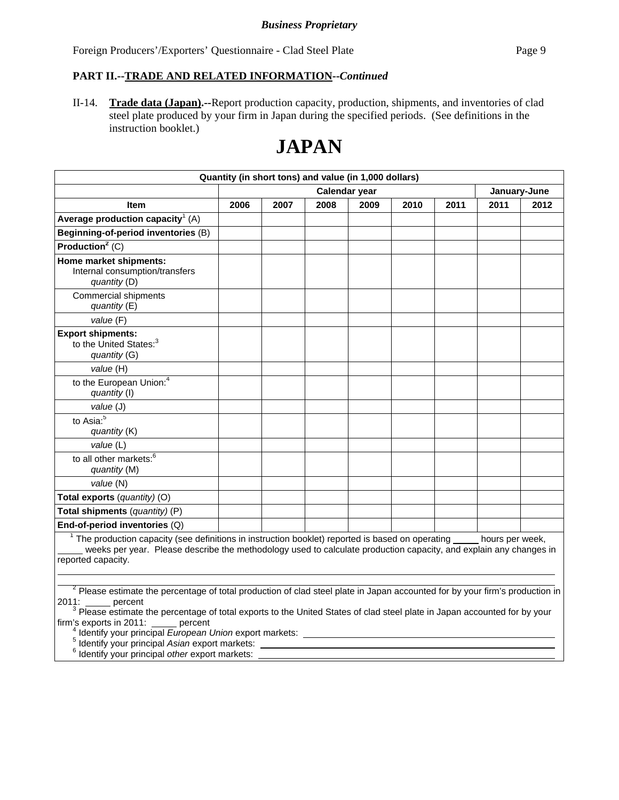## **PART II.--TRADE AND RELATED INFORMATION--***Continued*

II-14. **Trade data (Japan).--**Report production capacity, production, shipments, and inventories of clad steel plate produced by your firm in Japan during the specified periods. (See definitions in the instruction booklet.)

# **JAPAN**

| Quantity (in short tons) and value (in 1,000 dollars)                                                                                                                                                                                                                 |                               |      |      |      |      |      |      |      |
|-----------------------------------------------------------------------------------------------------------------------------------------------------------------------------------------------------------------------------------------------------------------------|-------------------------------|------|------|------|------|------|------|------|
|                                                                                                                                                                                                                                                                       | Calendar year<br>January-June |      |      |      |      |      |      |      |
| <b>Item</b>                                                                                                                                                                                                                                                           | 2006                          | 2007 | 2008 | 2009 | 2010 | 2011 | 2011 | 2012 |
| Average production capacity <sup>1</sup> (A)                                                                                                                                                                                                                          |                               |      |      |      |      |      |      |      |
| Beginning-of-period inventories (B)                                                                                                                                                                                                                                   |                               |      |      |      |      |      |      |      |
| Production <sup>2</sup> $(C)$                                                                                                                                                                                                                                         |                               |      |      |      |      |      |      |      |
| Home market shipments:<br>Internal consumption/transfers<br>quantity (D)                                                                                                                                                                                              |                               |      |      |      |      |      |      |      |
| <b>Commercial shipments</b><br>quantity (E)                                                                                                                                                                                                                           |                               |      |      |      |      |      |      |      |
| value (F)                                                                                                                                                                                                                                                             |                               |      |      |      |      |      |      |      |
| <b>Export shipments:</b><br>to the United States: <sup>3</sup><br>quantity (G)                                                                                                                                                                                        |                               |      |      |      |      |      |      |      |
| value (H)                                                                                                                                                                                                                                                             |                               |      |      |      |      |      |      |      |
| to the European Union: <sup>4</sup><br>quantity (I)                                                                                                                                                                                                                   |                               |      |      |      |      |      |      |      |
| value (J)                                                                                                                                                                                                                                                             |                               |      |      |      |      |      |      |      |
| to Asia: $\overline{5}$<br>quantity (K)                                                                                                                                                                                                                               |                               |      |      |      |      |      |      |      |
| value (L)                                                                                                                                                                                                                                                             |                               |      |      |      |      |      |      |      |
| to all other markets: <sup>6</sup><br>quantity (M)                                                                                                                                                                                                                    |                               |      |      |      |      |      |      |      |
| value (N)                                                                                                                                                                                                                                                             |                               |      |      |      |      |      |      |      |
| Total exports (quantity) (O)                                                                                                                                                                                                                                          |                               |      |      |      |      |      |      |      |
| Total shipments (quantity) (P)                                                                                                                                                                                                                                        |                               |      |      |      |      |      |      |      |
| End-of-period inventories $(Q)$                                                                                                                                                                                                                                       |                               |      |      |      |      |      |      |      |
| $1$ The production capacity (see definitions in instruction booklet) reported is based on operating $\_\_$ hours per week,<br>weeks per year. Please describe the methodology used to calculate production capacity, and explain any changes in<br>reported capacity. |                               |      |      |      |      |      |      |      |
| <sup>2</sup> Please estimate the percentage of total production of clad steel plate in Japan accounted for by your firm's production in<br>percent                                                                                                                    |                               |      |      |      |      |      |      |      |

2011: \_\_\_\_\_\_ percent<br><sup>3</sup> Please estimate the percentage of total exports to the United States of clad steel plate in Japan accounted for by your firm's exports in 2011: percent

<sup>4</sup> Identify your principal *European Union* export markets:<br><sup>5</sup> Identify your principal *Acion* export markets:

<sup>5</sup> Identify your principal *Asian* export markets:<br><sup>6</sup> Identify your principal ather export markets:

<sup>6</sup> Identify your principal *other* export markets: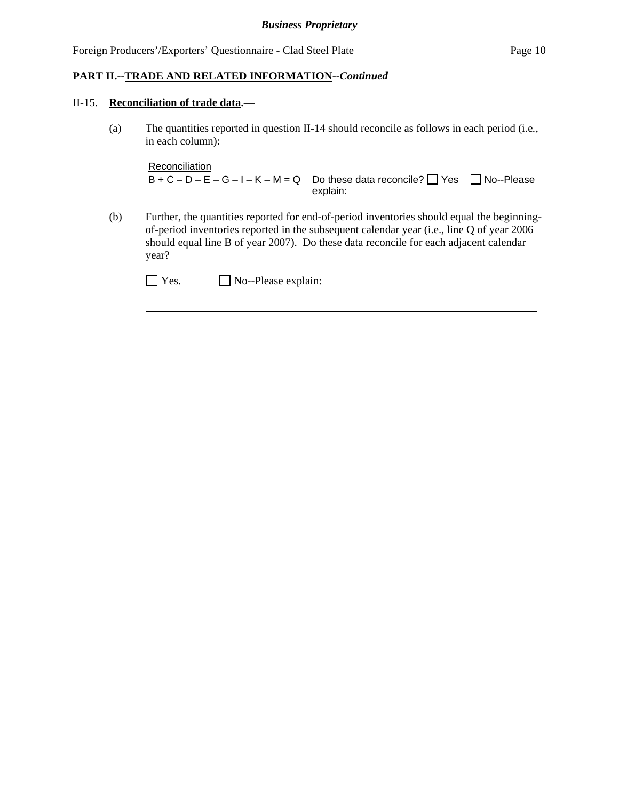#### **PART II.--TRADE AND RELATED INFORMATION--***Continued*

#### II-15. **Reconciliation of trade data.—**

 $\overline{a}$ 

(a) The quantities reported in question II-14 should reconcile as follows in each period (i.e*.*, in each column):

```
Reconciliation
B + C - D - E - G - I - K - M = Q Do these data reconcile? \Box Yes \Box No--Please
                                 explain:
```
(b) Further, the quantities reported for end-of-period inventories should equal the beginningof-period inventories reported in the subsequent calendar year (i.e., line Q of year 2006 should equal line B of year 2007). Do these data reconcile for each adjacent calendar year?

| $\Box$ Yes. | $\Box$ No--Please explain: |
|-------------|----------------------------|
|-------------|----------------------------|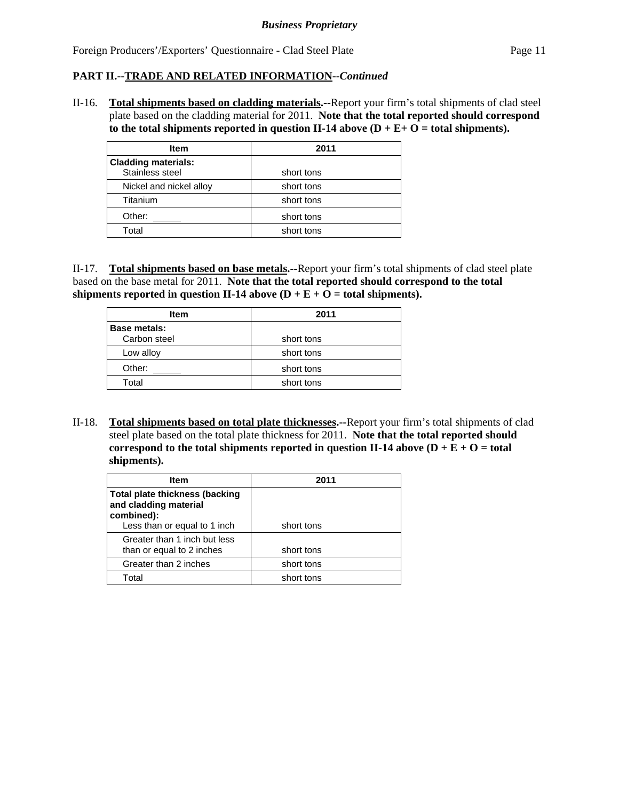## **PART II.--TRADE AND RELATED INFORMATION--***Continued*

II-16. **Total shipments based on cladding materials.--**Report your firm's total shipments of clad steel plate based on the cladding material for 2011. **Note that the total reported should correspond**  to the total shipments reported in question II-14 above  $(D + E + O =$  total shipments).

| <b>Item</b>                                   | 2011       |
|-----------------------------------------------|------------|
| <b>Cladding materials:</b><br>Stainless steel | short tons |
| Nickel and nickel alloy                       | short tons |
| Titanium                                      | short tons |
| Other:                                        | short tons |
| Total                                         | short tons |

II-17. **Total shipments based on base metals.--**Report your firm's total shipments of clad steel plate based on the base metal for 2011. **Note that the total reported should correspond to the total**  shipments reported in question II-14 above  $(D + E + O =$  total shipments).

| <b>Item</b>         | 2011       |
|---------------------|------------|
| <b>Base metals:</b> |            |
| Carbon steel        | short tons |
| Low alloy           | short tons |
| Other:              | short tons |
| Total               | short tons |

II-18. **Total shipments based on total plate thicknesses.--**Report your firm's total shipments of clad steel plate based on the total plate thickness for 2011. **Note that the total reported should correspond to the total shipments reported in question II-14 above**  $(D + E + O =$  **total shipments).** 

| Item                                                           | 2011       |  |  |  |
|----------------------------------------------------------------|------------|--|--|--|
| <b>Total plate thickness (backing</b><br>and cladding material |            |  |  |  |
| combined):<br>Less than or equal to 1 inch                     | short tons |  |  |  |
| Greater than 1 inch but less                                   |            |  |  |  |
| than or equal to 2 inches                                      | short tons |  |  |  |
| Greater than 2 inches                                          | short tons |  |  |  |
| Total                                                          | short tons |  |  |  |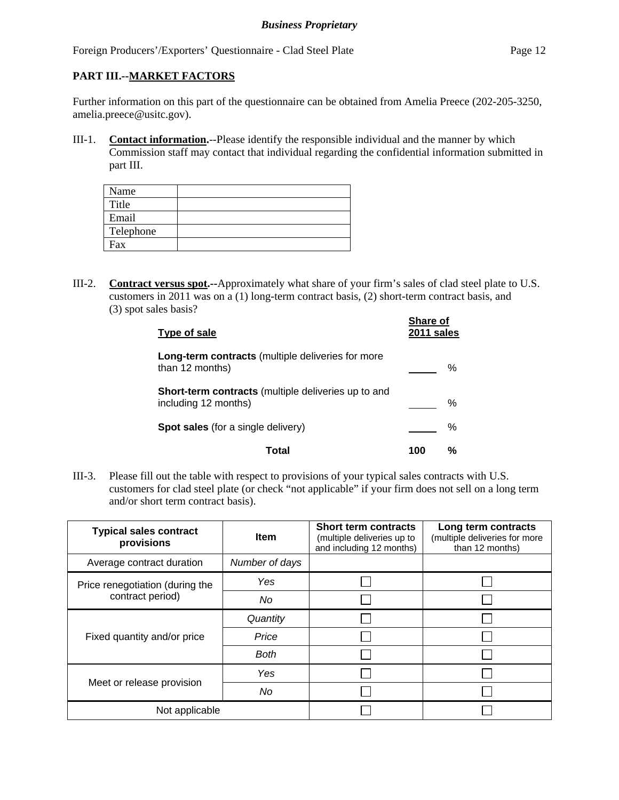#### **PART III.--MARKET FACTORS**

Further information on this part of the questionnaire can be obtained from Amelia Preece (202-205-3250, amelia.preece@usitc.gov).

III-1. **Contact information.**--Please identify the responsible individual and the manner by which Commission staff may contact that individual regarding the confidential information submitted in part III.

| Name      |  |
|-----------|--|
| Title     |  |
| Email     |  |
| Telephone |  |
| Fax       |  |

III-2. **Contract versus spot.--**Approximately what share of your firm's sales of clad steel plate to U.S. customers in 2011 was on a (1) long-term contract basis, (2) short-term contract basis, and (3) spot sales basis?

| Type of sale                                                                | Share of<br>2011 sales |   |
|-----------------------------------------------------------------------------|------------------------|---|
| Long-term contracts (multiple deliveries for more<br>than 12 months)        |                        | % |
| Short-term contracts (multiple deliveries up to and<br>including 12 months) |                        | % |
| <b>Spot sales</b> (for a single delivery)                                   |                        | % |
| Total                                                                       | 100                    | % |

III-3. Please fill out the table with respect to provisions of your typical sales contracts with U.S. customers for clad steel plate (or check "not applicable" if your firm does not sell on a long term and/or short term contract basis).

| <b>Typical sales contract</b><br>provisions | <b>Item</b>    | <b>Short term contracts</b><br>(multiple deliveries up to<br>and including 12 months) | Long term contracts<br>(multiple deliveries for more<br>than 12 months) |  |
|---------------------------------------------|----------------|---------------------------------------------------------------------------------------|-------------------------------------------------------------------------|--|
| Average contract duration                   | Number of days |                                                                                       |                                                                         |  |
| Price renegotiation (during the             | Yes            |                                                                                       |                                                                         |  |
| contract period)                            | No             |                                                                                       |                                                                         |  |
|                                             | Quantity       |                                                                                       |                                                                         |  |
| Fixed quantity and/or price                 | Price          |                                                                                       |                                                                         |  |
|                                             | <b>Both</b>    |                                                                                       |                                                                         |  |
|                                             | Yes            |                                                                                       |                                                                         |  |
| Meet or release provision                   | No             |                                                                                       |                                                                         |  |
| Not applicable                              |                |                                                                                       |                                                                         |  |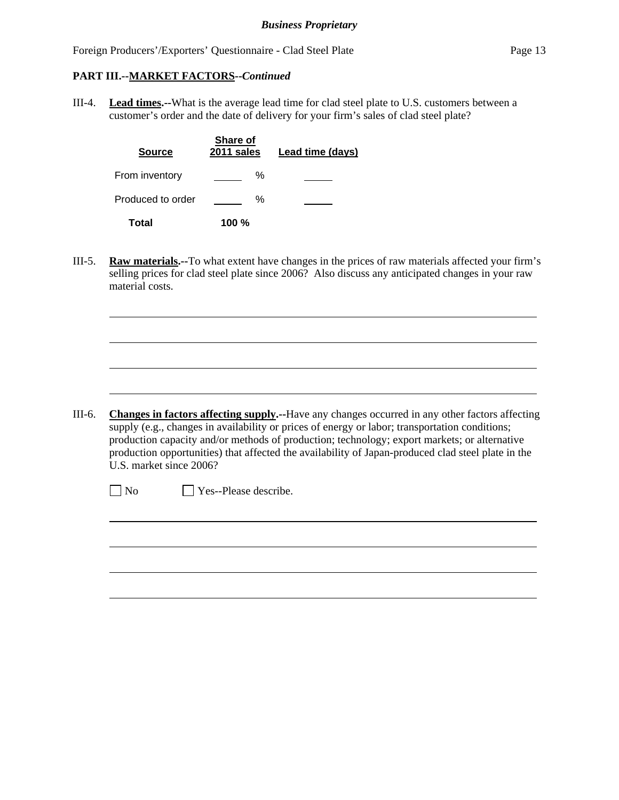#### **PART III.--MARKET FACTORS--***Continued*

l

 $\overline{a}$ 

III-4. **Lead times.--**What is the average lead time for clad steel plate to U.S. customers between a customer's order and the date of delivery for your firm's sales of clad steel plate?

| <b>Source</b>     | <b>Share of</b><br>2011 sales | Lead time (days) |
|-------------------|-------------------------------|------------------|
| From inventory    | ℅                             |                  |
| Produced to order | ℅                             |                  |
| Total             | 100 $%$                       |                  |

III-5. **Raw materials.--**To what extent have changes in the prices of raw materials affected your firm's selling prices for clad steel plate since 2006? Also discuss any anticipated changes in your raw material costs.

III-6. **Changes in factors affecting supply.--**Have any changes occurred in any other factors affecting supply (e.g., changes in availability or prices of energy or labor; transportation conditions; production capacity and/or methods of production; technology; export markets; or alternative production opportunities) that affected the availability of Japan-produced clad steel plate in the U.S. market since 2006?

 $\neg$  No  $\neg$  Yes--Please describe.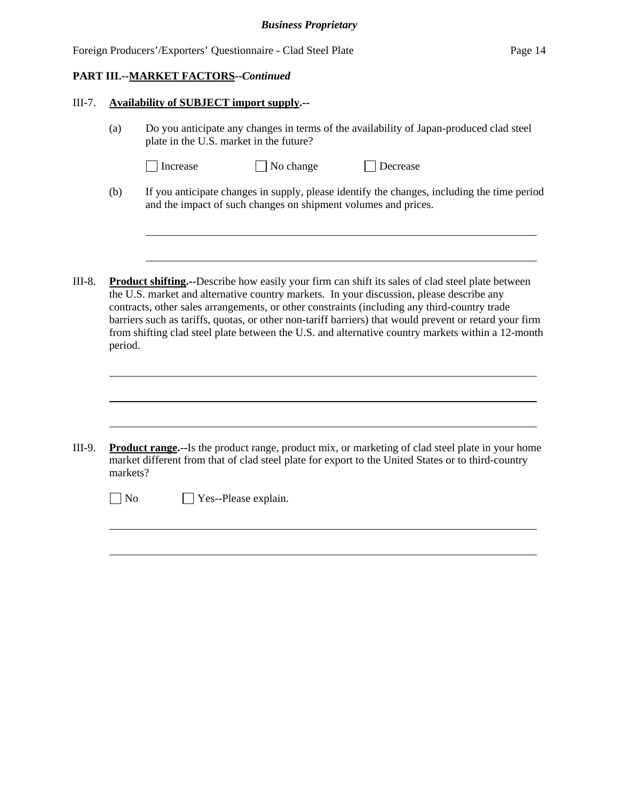#### **PART III.--MARKET FACTORS--***Continued*

l

l

 $\overline{a}$ 

#### III-7. **Availability of SUBJECT import supply.--**

- (a) Do you anticipate any changes in terms of the availability of Japan-produced clad steel plate in the U.S. market in the future?
	- □ Increase → No change → Decrease
		-
- (b) If you anticipate changes in supply, please identify the changes, including the time period and the impact of such changes on shipment volumes and prices.
- III-8. **Product shifting.--**Describe how easily your firm can shift its sales of clad steel plate between the U.S. market and alternative country markets. In your discussion, please describe any contracts, other sales arrangements, or other constraints (including any third-country trade barriers such as tariffs, quotas, or other non-tariff barriers) that would prevent or retard your firm from shifting clad steel plate between the U.S. and alternative country markets within a 12-month period.

III-9. **Product range.--**Is the product range, product mix, or marketing of clad steel plate in your home market different from that of clad steel plate for export to the United States or to third-country markets?

No Yes--Please explain.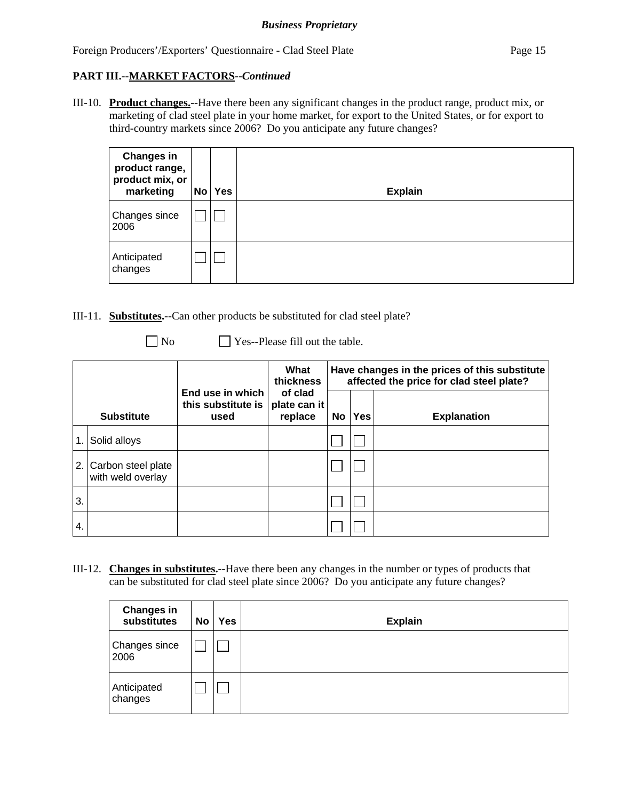# **PART III.--MARKET FACTORS--***Continued*

III-10. **Product changes.**--Have there been any significant changes in the product range, product mix, or marketing of clad steel plate in your home market, for export to the United States, or for export to third-country markets since 2006? Do you anticipate any future changes?

| <b>Changes in</b><br>product range,<br>product mix, or<br>marketing | No | <b>Yes</b> | <b>Explain</b> |
|---------------------------------------------------------------------|----|------------|----------------|
| Changes since<br>2006                                               |    |            |                |
| Anticipated<br>changes                                              |    |            |                |

- III-11. **Substitutes.--**Can other products be substituted for clad steel plate?
	-

No **No** Yes--Please fill out the table.

|                  |                                         |                                                | What<br>thickness                  | Have changes in the prices of this substitute<br>affected the price for clad steel plate? |            |                    |
|------------------|-----------------------------------------|------------------------------------------------|------------------------------------|-------------------------------------------------------------------------------------------|------------|--------------------|
|                  | <b>Substitute</b>                       | End use in which<br>this substitute is<br>used | of clad<br>plate can it<br>replace | No                                                                                        | <b>Yes</b> | <b>Explanation</b> |
| 1.               | Solid alloys                            |                                                |                                    |                                                                                           |            |                    |
| 2.               | Carbon steel plate<br>with weld overlay |                                                |                                    |                                                                                           |            |                    |
| 3.               |                                         |                                                |                                    |                                                                                           |            |                    |
| $\overline{4}$ . |                                         |                                                |                                    |                                                                                           |            |                    |

III-12. **Changes in substitutes.--**Have there been any changes in the number or types of products that can be substituted for clad steel plate since 2006? Do you anticipate any future changes?

| <b>Changes in</b><br>substitutes | No | Yes | <b>Explain</b> |
|----------------------------------|----|-----|----------------|
| Changes since<br>2006            |    |     |                |
| Anticipated<br>changes           |    |     |                |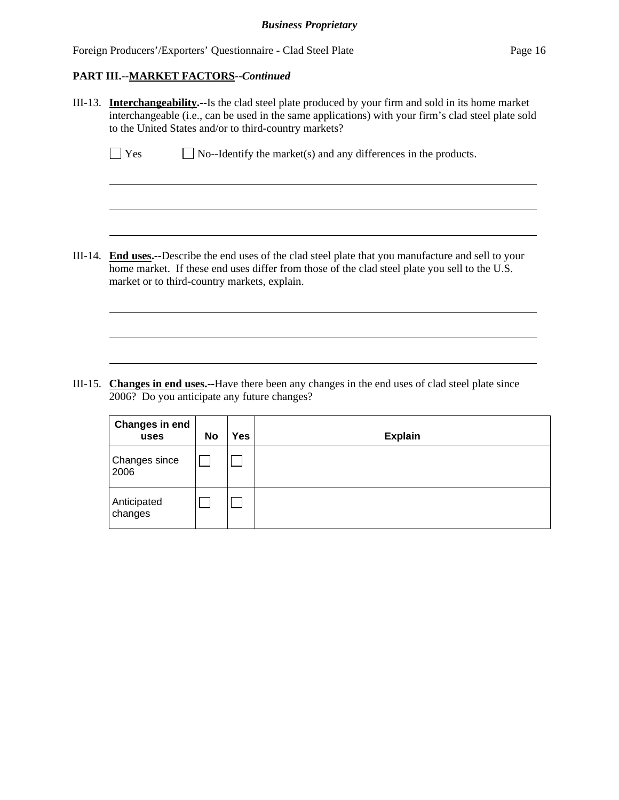#### **PART III.--MARKET FACTORS--***Continued*

 $\overline{a}$ 

l

III-13. **Interchangeability.--**Is the clad steel plate produced by your firm and sold in its home market interchangeable (i.e., can be used in the same applications) with your firm's clad steel plate sold to the United States and/or to third-country markets?

| $\Box$ Yes | $\Box$ No--Identify the market(s) and any differences in the products. |  |
|------------|------------------------------------------------------------------------|--|
|------------|------------------------------------------------------------------------|--|

III-14. **End uses.--**Describe the end uses of the clad steel plate that you manufacture and sell to your home market. If these end uses differ from those of the clad steel plate you sell to the U.S. market or to third-country markets, explain.

III-15. **Changes in end uses.--**Have there been any changes in the end uses of clad steel plate since 2006? Do you anticipate any future changes?

| Changes in end<br>uses       | No | <b>Yes</b> | <b>Explain</b> |
|------------------------------|----|------------|----------------|
| <b>Changes since</b><br>2006 |    |            |                |
| Anticipated<br>changes       |    |            |                |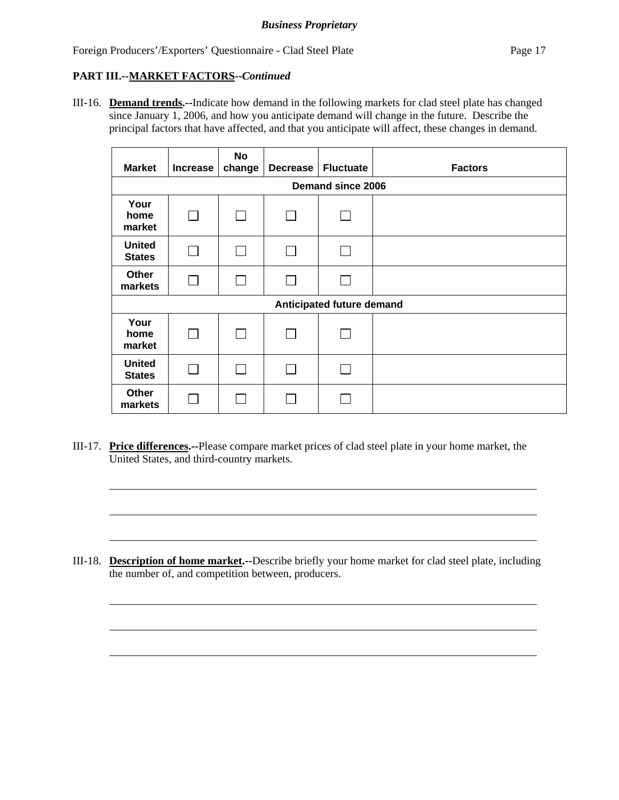# **PART III.--MARKET FACTORS--***Continued*

l

l

III-16. **Demand trends.--**Indicate how demand in the following markets for clad steel plate has changed since January 1, 2006, and how you anticipate demand will change in the future. Describe the principal factors that have affected, and that you anticipate will affect, these changes in demand.

| <b>Market</b>                  | Increase        | <b>No</b><br>change | Decrease | <b>Fluctuate</b> | <b>Factors</b> |  |
|--------------------------------|-----------------|---------------------|----------|------------------|----------------|--|
| Demand since 2006              |                 |                     |          |                  |                |  |
| Your<br>home<br>market         | $\mathsf{L}$    | $\mathsf{L}$        |          |                  |                |  |
| <b>United</b><br><b>States</b> |                 |                     |          | $\mathbb{R}$     |                |  |
| Other<br>markets               | <b>Contract</b> | $\vert \ \ \vert$   |          | $\mathbf{I}$     |                |  |
| Anticipated future demand      |                 |                     |          |                  |                |  |
| Your<br>home<br>market         |                 | $\mathbf{I}$        |          |                  |                |  |
| <b>United</b><br><b>States</b> |                 |                     |          |                  |                |  |
| <b>Other</b><br>markets        |                 |                     |          |                  |                |  |

III-17. **Price differences.--**Please compare market prices of clad steel plate in your home market, the United States, and third-country markets.

III-18. **Description of home market.--**Describe briefly your home market for clad steel plate, including the number of, and competition between, producers.